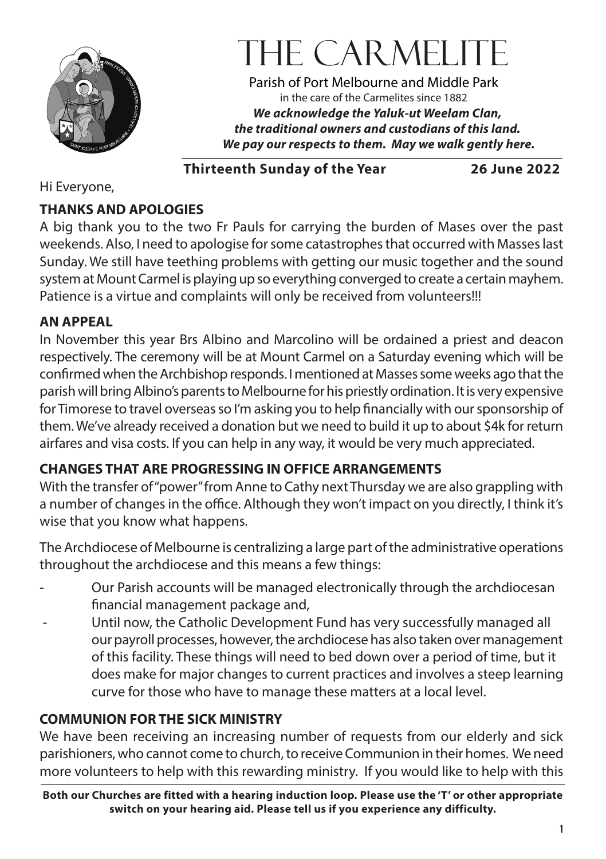

# THE CARMELIT

Parish of Port Melbourne and Middle Park in the care of the Carmelites since 1882 *We acknowledge the Yaluk-ut Weelam Clan, the traditional owners and custodians of this land. We pay our respects to them. May we walk gently here.*

**Thirteenth Sunday of the Year 26 June 2022**

Hi Everyone,

#### **THANKS AND APOLOGIES**

A big thank you to the two Fr Pauls for carrying the burden of Mases over the past weekends. Also, I need to apologise for some catastrophes that occurred with Masses last Sunday. We still have teething problems with getting our music together and the sound system at Mount Carmel is playing up so everything converged to create a certain mayhem. Patience is a virtue and complaints will only be received from volunteers!!!

#### **AN APPEAL**

In November this year Brs Albino and Marcolino will be ordained a priest and deacon respectively. The ceremony will be at Mount Carmel on a Saturday evening which will be confirmed when the Archbishop responds. I mentioned at Masses some weeks ago that the parish will bring Albino's parents to Melbourne for his priestly ordination. It is very expensive for Timorese to travel overseas so I'm asking you to help financially with our sponsorship of them. We've already received a donation but we need to build it up to about \$4k for return airfares and visa costs. If you can help in any way, it would be very much appreciated.

#### **CHANGES THAT ARE PROGRESSING IN OFFICE ARRANGEMENTS**

With the transfer of "power" from Anne to Cathy next Thursday we are also grappling with a number of changes in the office. Although they won't impact on you directly, I think it's wise that you know what happens.

The Archdiocese of Melbourne is centralizing a large part of the administrative operations throughout the archdiocese and this means a few things:

- Our Parish accounts will be managed electronically through the archdiocesan financial management package and,
- Until now, the Catholic Development Fund has very successfully managed all our payroll processes, however, the archdiocese has also taken over management of this facility. These things will need to bed down over a period of time, but it does make for major changes to current practices and involves a steep learning curve for those who have to manage these matters at a local level.

#### **COMMUNION FOR THE SICK MINISTRY**

We have been receiving an increasing number of requests from our elderly and sick parishioners, who cannot come to church, to receive Communion in their homes. We need more volunteers to help with this rewarding ministry. If you would like to help with this

**Both our Churches are fitted with a hearing induction loop. Please use the 'T' or other appropriate switch on your hearing aid. Please tell us if you experience any difficulty.**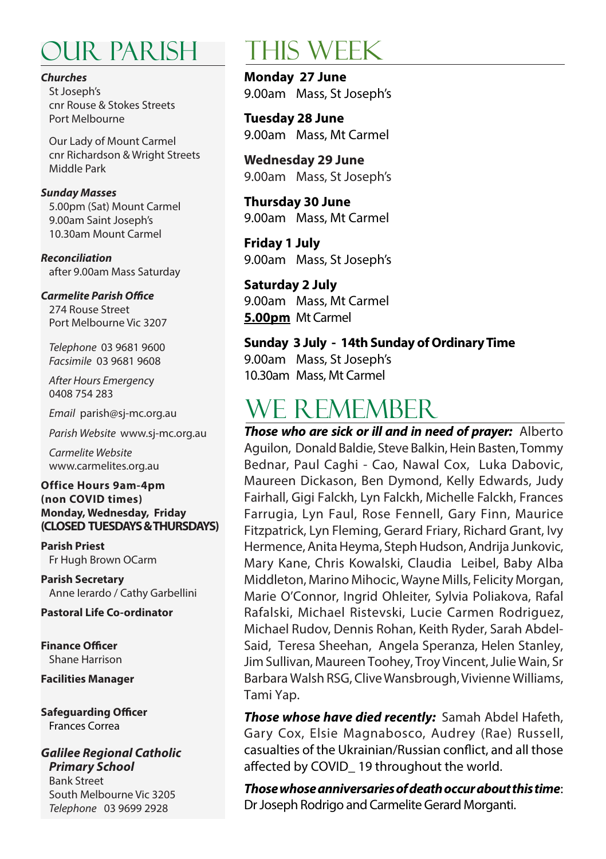## our parish this week

#### *Churches*

St Joseph's cnr Rouse & Stokes Streets Port Melbourne

Our Lady of Mount Carmel cnr Richardson & Wright Streets Middle Park

#### *Sunday Masses*

5.00pm (Sat) Mount Carmel 9.00am Saint Joseph's 10.30am Mount Carmel

*Reconciliation* after 9.00am Mass Saturday

#### *Carmelite Parish Office*

274 Rouse Street Port Melbourne Vic 3207

*Telephone* 03 9681 9600 *Facsimile* 03 9681 9608

*After Hours Emergenc*y 0408 754 283

*Email* parish@sj-mc.org.au

*Parish Website* www.sj-mc.org.au

*Carmelite Website* www.carmelites.org.au

#### **Office Hours 9am-4pm (non COVID times) Monday, Wednesday, Friday (CLOSED TUESDAYS & THURSDAYS)**

**Parish Priest** Fr Hugh Brown OCarm

**Parish Secretary** Anne Ierardo / Cathy Garbellini

**Pastoral Life Co-ordinator**

**Finance Officer** Shane Harrison

**Facilities Manager**

**Safeguarding Officer** Frances Correa

*Galilee Regional Catholic Primary School* Bank Street South Melbourne Vic 3205 *Telephone* 03 9699 2928

**Monday 27 June**  9.00am Mass, St Joseph's

**Tuesday 28 June** 9.00am Mass, Mt Carmel

**Wednesday 29 June** 9.00am Mass, St Joseph's

**Thursday 30 June**  9.00am Mass, Mt Carmel

**Friday 1 July** 9.00am Mass, St Joseph's

#### **Saturday 2 July**

9.00am Mass, Mt Carmel **5.00pm** Mt Carmel

#### **Sunday 3 July - 14th Sunday of Ordinary Time**

9.00am Mass, St Joseph's 10.30am Mass, Mt Carmel

### WE R EMEMBER

*Those who are sick or ill and in need of prayer:* Alberto Aguilon, Donald Baldie, Steve Balkin, Hein Basten, Tommy Bednar, Paul Caghi - Cao, Nawal Cox, Luka Dabovic, Maureen Dickason, Ben Dymond, Kelly Edwards, Judy Fairhall, Gigi Falckh, Lyn Falckh, Michelle Falckh, Frances Farrugia, Lyn Faul, Rose Fennell, Gary Finn, Maurice Fitzpatrick, Lyn Fleming, Gerard Friary, Richard Grant, Ivy Hermence, Anita Heyma, Steph Hudson, Andrija Junkovic, Mary Kane, Chris Kowalski, Claudia Leibel, Baby Alba Middleton, Marino Mihocic, Wayne Mills, Felicity Morgan, Marie O'Connor, Ingrid Ohleiter, Sylvia Poliakova, Rafal Rafalski, Michael Ristevski, Lucie Carmen Rodriguez, Michael Rudov, Dennis Rohan, Keith Ryder, Sarah Abdel-Said, Teresa Sheehan, Angela Speranza, Helen Stanley, Jim Sullivan, Maureen Toohey, Troy Vincent, Julie Wain, Sr Barbara Walsh RSG, Clive Wansbrough, Vivienne Williams, Tami Yap.

*Those whose have died recently:* Samah Abdel Hafeth, Gary Cox, Elsie Magnabosco, Audrey (Rae) Russell, casualties of the Ukrainian/Russian conflict, and all those affected by COVID\_ 19 throughout the world.

*Those whose anniversaries of death occur about this time*: Dr Joseph Rodrigo and Carmelite Gerard Morganti.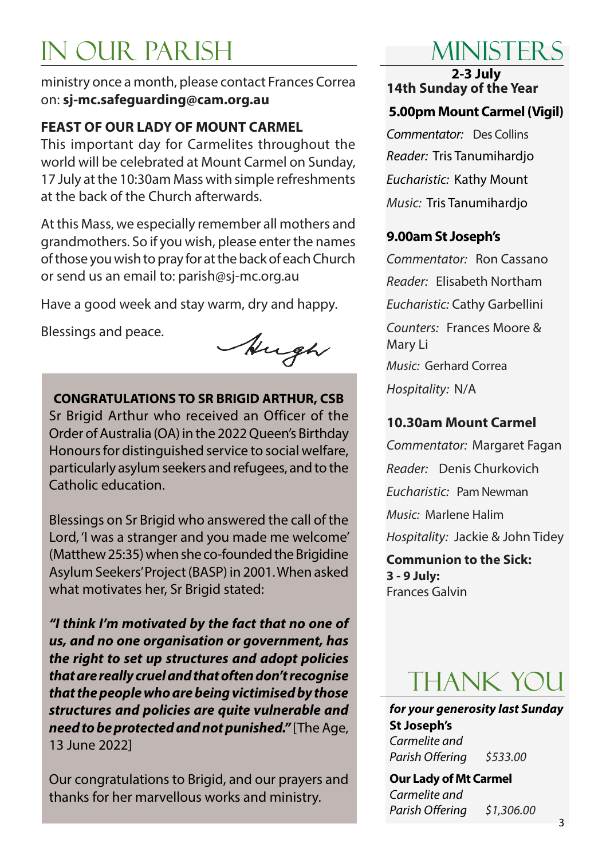# in our parish

ministry once a month, please contact Frances Correa on: **sj-mc.safeguarding@cam.org.au**

#### **FEAST OF OUR LADY OF MOUNT CARMEL**

This important day for Carmelites throughout the world will be celebrated at Mount Carmel on Sunday, 17 July at the 10:30am Mass with simple refreshments at the back of the Church afterwards.

At this Mass, we especially remember all mothers and grandmothers. So if you wish, please enter the names of those you wish to pray for at the back of each Church or send us an email to: parish@sj-mc.org.au

Have a good week and stay warm, dry and happy.

Blessings and peace.

Augh

**CONGRATULATIONS TO SR BRIGID ARTHUR, CSB** Sr Brigid Arthur who received an Officer of the Order of Australia (OA) in the 2022 Queen's Birthday Honours for distinguished service to social welfare, particularly asylum seekers and refugees, and to the Catholic education.

Blessings on Sr Brigid who answered the call of the Lord, 'I was a stranger and you made me welcome' (Matthew 25:35) when she co-founded the Brigidine Asylum Seekers' Project (BASP) in 2001. When asked what motivates her, Sr Brigid stated:

*"I think I'm motivated by the fact that no one of us, and no one organisation or government, has the right to set up structures and adopt policies that are really cruel and that often don't recognise that the people who are being victimised by those structures and policies are quite vulnerable and need to be protected and not punished."* [The Age, 13 June 2022]

Our congratulations to Brigid, and our prayers and thanks for her marvellous works and ministry.

# Ministers

**2-3 July 14th Sunday of the Year**

#### **5.00pm Mount Carmel (Vigil)**

*Commentator:* Des Collins *Reader:* Tris Tanumihardjo *Eucharistic:* Kathy Mount *Music:* Tris Tanumihardjo

#### **9.00am St Joseph's**

*Commentator:* Ron Cassano *Reader:* Elisabeth Northam *Eucharistic:* Cathy Garbellini *Counters:* Frances Moore & Mary Li *Music:* Gerhard Correa *Hospitality:* N/A

#### **10.30am Mount Carmel**

*Commentator:* Margaret Fagan *Reader:* Denis Churkovich *Eucharistic:* Pam Newman *Music:* Marlene Halim *Hospitality:* Jackie & John Tidey

**Communion to the Sick: 3 - 9 July:** Frances Galvin

# thank you

*for your generosity last Sunday* **St Joseph's**  *Carmelite and Parish Offering \$533.00*

**Our Lady of Mt Carmel**  *Carmelite and Parish Offering \$1,306.00*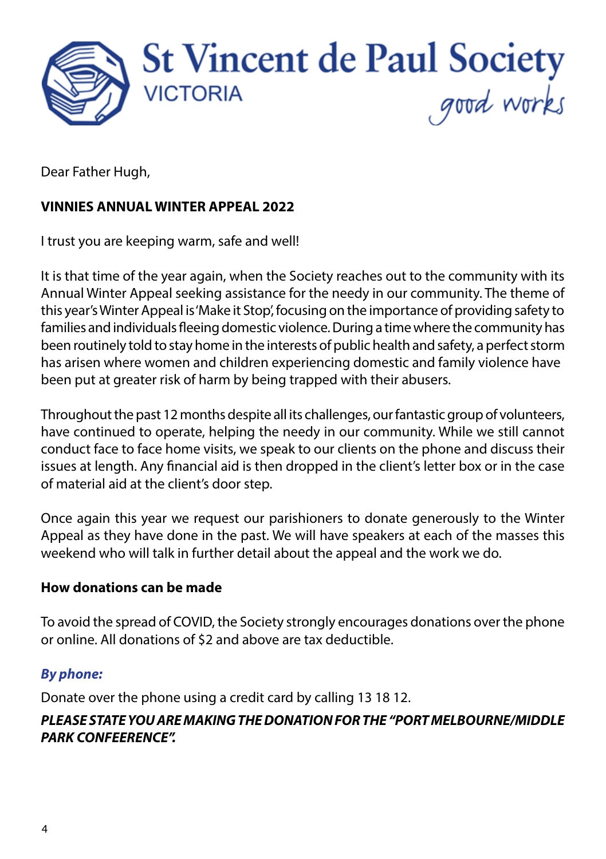

Dear Father Hugh,

#### **VINNIES ANNUAL WINTER APPEAL 2022**

I trust you are keeping warm, safe and well!

It is that time of the year again, when the Society reaches out to the community with its Annual Winter Appeal seeking assistance for the needy in our community. The theme of this year's Winter Appeal is 'Make it Stop', focusing on the importance of providing safety to families and individuals fleeing domestic violence. During a time where the community has been routinely told to stay home in the interests of public health and safety, a perfect storm has arisen where women and children experiencing domestic and family violence have been put at greater risk of harm by being trapped with their abusers.

Throughout the past 12 months despite all its challenges, our fantastic group of volunteers, have continued to operate, helping the needy in our community. While we still cannot conduct face to face home visits, we speak to our clients on the phone and discuss their issues at length. Any financial aid is then dropped in the client's letter box or in the case of material aid at the client's door step.

Once again this year we request our parishioners to donate generously to the Winter Appeal as they have done in the past. We will have speakers at each of the masses this weekend who will talk in further detail about the appeal and the work we do.

#### **How donations can be made**

To avoid the spread of COVID, the Society strongly encourages donations over the phone or online. All donations of \$2 and above are tax deductible.

#### *By phone:*

Donate over the phone using a credit card by calling 13 18 12.

#### *PLEASE STATE YOU ARE MAKING THE DONATION FOR THE "PORT MELBOURNE/MIDDLE PARK CONFEERENCE".*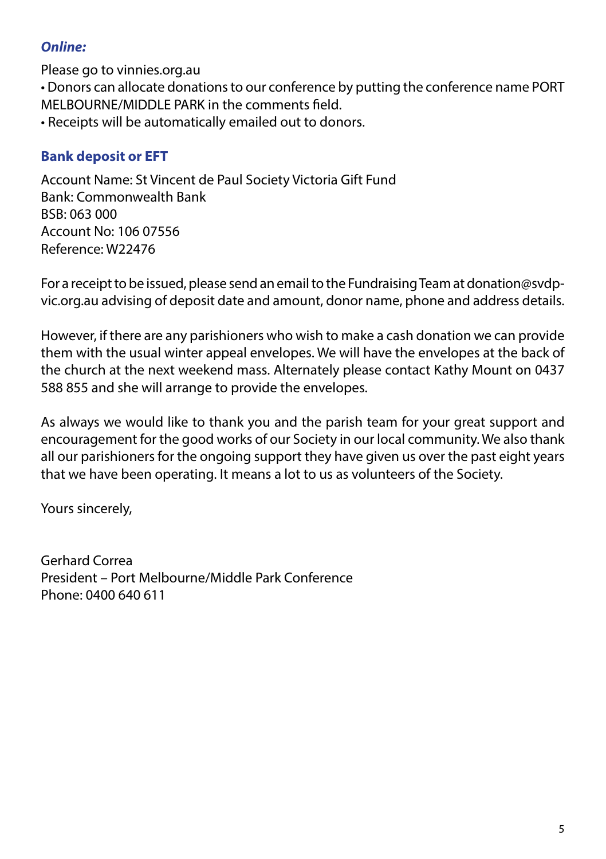#### *Online:*

Please go to vinnies.org.au

• Donors can allocate donations to our conference by putting the conference name PORT MELBOURNE/MIDDLE PARK in the comments field.

• Receipts will be automatically emailed out to donors.

#### **Bank deposit or EFT**

Account Name: St Vincent de Paul Society Victoria Gift Fund Bank: Commonwealth Bank BSB: 063 000 Account No: 106 07556 Reference: W22476

For a receipt to be issued, please send an email to the Fundraising Team at donation@svdpvic.org.au advising of deposit date and amount, donor name, phone and address details.

However, if there are any parishioners who wish to make a cash donation we can provide them with the usual winter appeal envelopes. We will have the envelopes at the back of the church at the next weekend mass. Alternately please contact Kathy Mount on 0437 588 855 and she will arrange to provide the envelopes.

As always we would like to thank you and the parish team for your great support and encouragement for the good works of our Society in our local community. We also thank all our parishioners for the ongoing support they have given us over the past eight years that we have been operating. It means a lot to us as volunteers of the Society.

Yours sincerely,

Gerhard Correa President – Port Melbourne/Middle Park Conference Phone: 0400 640 611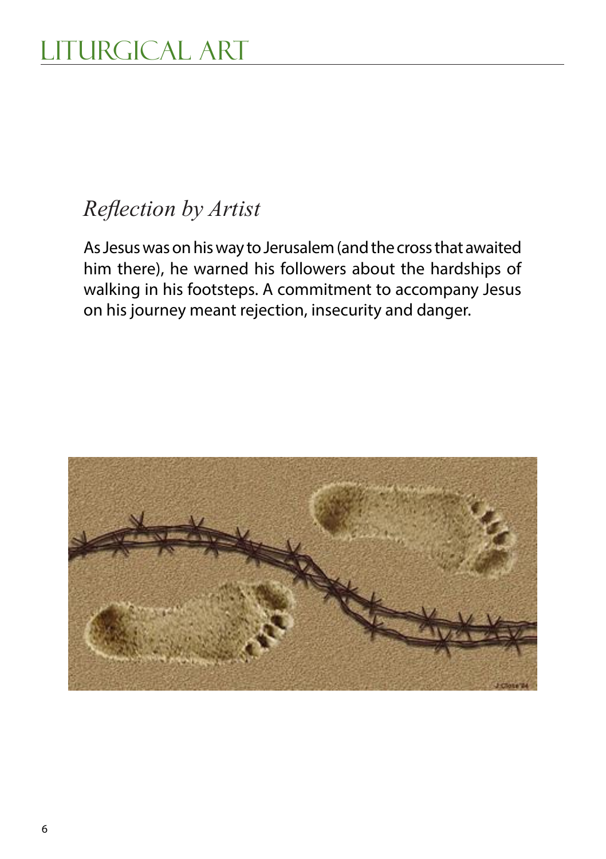### *Reflection by Artist*

As Jesus was on his way to Jerusalem (and the cross that awaited him there), he warned his followers about the hardships of walking in his footsteps. A commitment to accompany Jesus on his journey meant rejection, insecurity and danger.

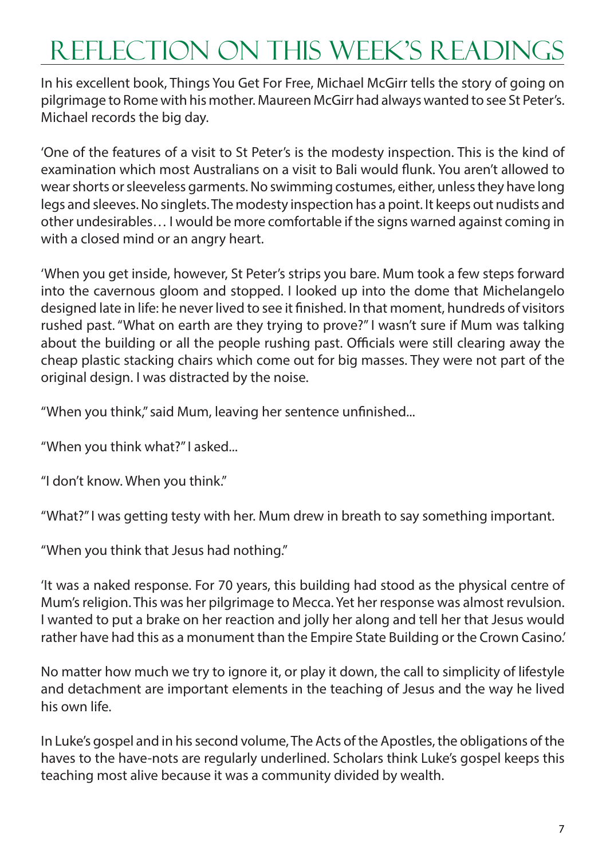# Reflection on this week's readings

In his excellent book, Things You Get For Free, Michael McGirr tells the story of going on pilgrimage to Rome with his mother. Maureen McGirr had always wanted to see St Peter's. Michael records the big day.

'One of the features of a visit to St Peter's is the modesty inspection. This is the kind of examination which most Australians on a visit to Bali would flunk. You aren't allowed to wear shorts or sleeveless garments. No swimming costumes, either, unless they have long legs and sleeves. No singlets. The modesty inspection has a point. It keeps out nudists and other undesirables… I would be more comfortable if the signs warned against coming in with a closed mind or an angry heart.

'When you get inside, however, St Peter's strips you bare. Mum took a few steps forward into the cavernous gloom and stopped. I looked up into the dome that Michelangelo designed late in life: he never lived to see it finished. In that moment, hundreds of visitors rushed past. "What on earth are they trying to prove?" I wasn't sure if Mum was talking about the building or all the people rushing past. Officials were still clearing away the cheap plastic stacking chairs which come out for big masses. They were not part of the original design. I was distracted by the noise.

"When you think," said Mum, leaving her sentence unfinished...

"When you think what?" I asked...

"I don't know. When you think."

"What?" I was getting testy with her. Mum drew in breath to say something important.

"When you think that Jesus had nothing."

'It was a naked response. For 70 years, this building had stood as the physical centre of Mum's religion. This was her pilgrimage to Mecca. Yet her response was almost revulsion. I wanted to put a brake on her reaction and jolly her along and tell her that Jesus would rather have had this as a monument than the Empire State Building or the Crown Casino.'

No matter how much we try to ignore it, or play it down, the call to simplicity of lifestyle and detachment are important elements in the teaching of Jesus and the way he lived his own life.

In Luke's gospel and in his second volume, The Acts of the Apostles, the obligations of the haves to the have-nots are regularly underlined. Scholars think Luke's gospel keeps this teaching most alive because it was a community divided by wealth.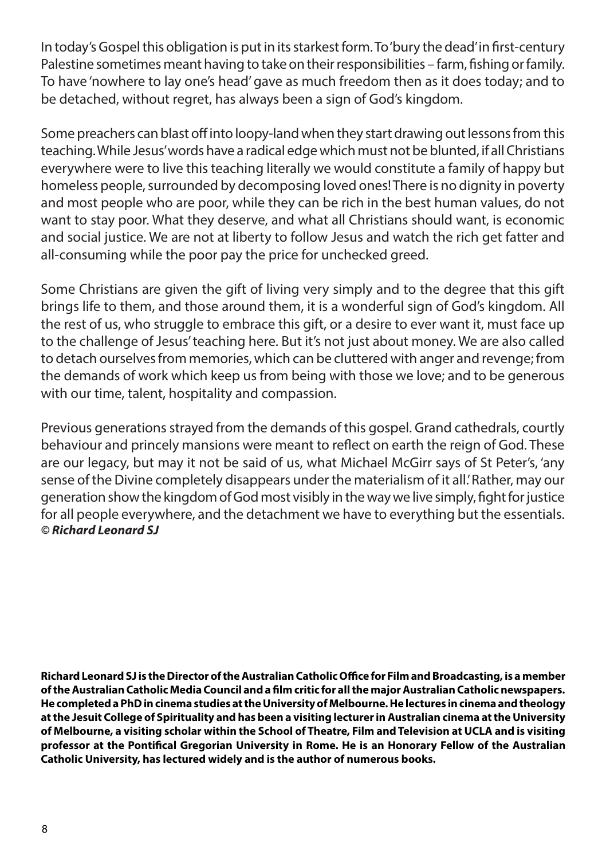In today's Gospel this obligation is put in its starkest form. To 'bury the dead' in first-century Palestine sometimes meant having to take on their responsibilities – farm, fishing or family. To have 'nowhere to lay one's head' gave as much freedom then as it does today; and to be detached, without regret, has always been a sign of God's kingdom.

Some preachers can blast off into loopy-land when they start drawing out lessons from this teaching. While Jesus' words have a radical edge which must not be blunted, if all Christians everywhere were to live this teaching literally we would constitute a family of happy but homeless people, surrounded by decomposing loved ones! There is no dignity in poverty and most people who are poor, while they can be rich in the best human values, do not want to stay poor. What they deserve, and what all Christians should want, is economic and social justice. We are not at liberty to follow Jesus and watch the rich get fatter and all-consuming while the poor pay the price for unchecked greed.

Some Christians are given the gift of living very simply and to the degree that this gift brings life to them, and those around them, it is a wonderful sign of God's kingdom. All the rest of us, who struggle to embrace this gift, or a desire to ever want it, must face up to the challenge of Jesus' teaching here. But it's not just about money. We are also called to detach ourselves from memories, which can be cluttered with anger and revenge; from the demands of work which keep us from being with those we love; and to be generous with our time, talent, hospitality and compassion.

Previous generations strayed from the demands of this gospel. Grand cathedrals, courtly behaviour and princely mansions were meant to reflect on earth the reign of God. These are our legacy, but may it not be said of us, what Michael McGirr says of St Peter's, 'any sense of the Divine completely disappears under the materialism of it all.' Rather, may our generation show the kingdom of God most visibly in the way we live simply, fight for justice for all people everywhere, and the detachment we have to everything but the essentials. *© Richard Leonard SJ*

**Richard Leonard SJ is the Director of the Australian Catholic Office for Film and Broadcasting, is a member of the Australian Catholic Media Council and a film critic for all the major Australian Catholic newspapers. He completed a PhD in cinema studies at the University of Melbourne. He lectures in cinema and theology at the Jesuit College of Spirituality and has been a visiting lecturer in Australian cinema at the University of Melbourne, a visiting scholar within the School of Theatre, Film and Television at UCLA and is visiting professor at the Pontifical Gregorian University in Rome. He is an Honorary Fellow of the Australian Catholic University, has lectured widely and is the author of numerous books.**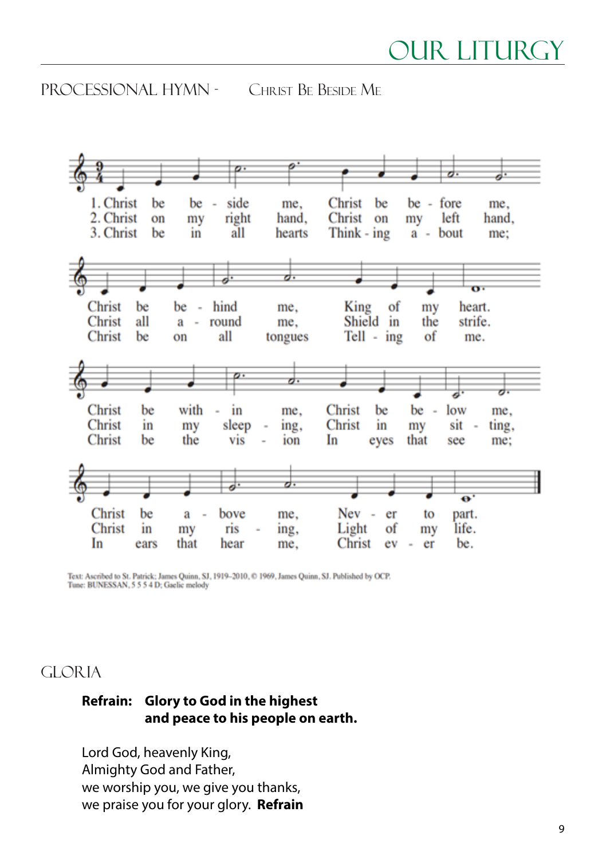processional Hymn - Christ Be Beside Me



Text: Ascribed to St. Patrick: James Quinn, SJ, 1919-2010, © 1969, James Quinn, SJ. Published by OCP.<br>Tune: BUNESSAN, 5 5 5 4 D: Gaelic melody

#### GLORIA

#### **Refrain: Glory to God in the highest and peace to his people on earth.**

Lord God, heavenly King, Almighty God and Father, we worship you, we give you thanks, we praise you for your glory. **Refrain**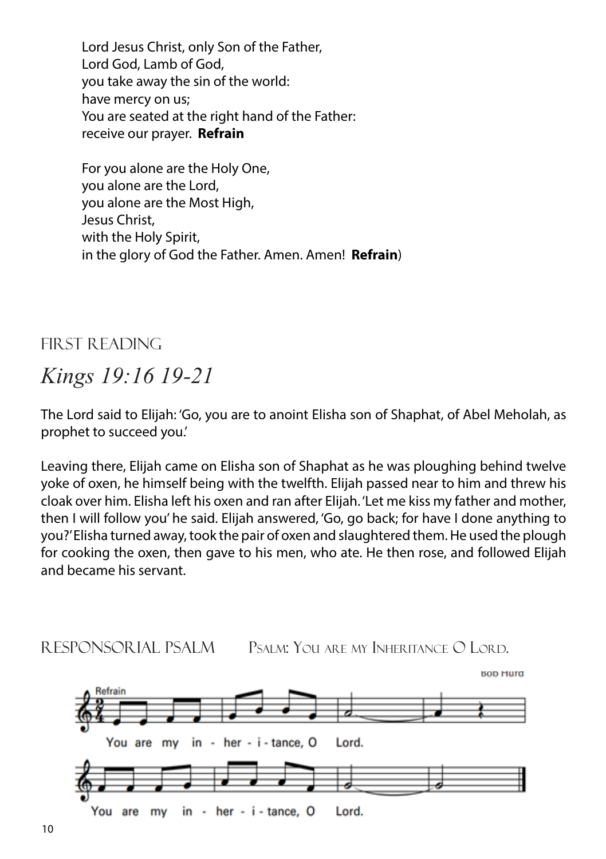Lord Jesus Christ, only Son of the Father, Lord God, Lamb of God, you take away the sin of the world: have mercy on us; You are seated at the right hand of the Father: receive our prayer. **Refrain**

For you alone are the Holy One, you alone are the Lord, you alone are the Most High, Jesus Christ, with the Holy Spirit, in the glory of God the Father. Amen. Amen! **Refrain**)

First Reading

### *Kings 19:16 19-21*

The Lord said to Elijah: 'Go, you are to anoint Elisha son of Shaphat, of Abel Meholah, as prophet to succeed you.'

Leaving there, Elijah came on Elisha son of Shaphat as he was ploughing behind twelve yoke of oxen, he himself being with the twelfth. Elijah passed near to him and threw his cloak over him. Elisha left his oxen and ran after Elijah. 'Let me kiss my father and mother, then I will follow you' he said. Elijah answered, 'Go, go back; for have I done anything to you?' Elisha turned away, took the pair of oxen and slaughtered them. He used the plough for cooking the oxen, then gave to his men, who ate. He then rose, and followed Elijah and became his servant.

responsorial psalm Psalm: You are my Inheritance O Lord.

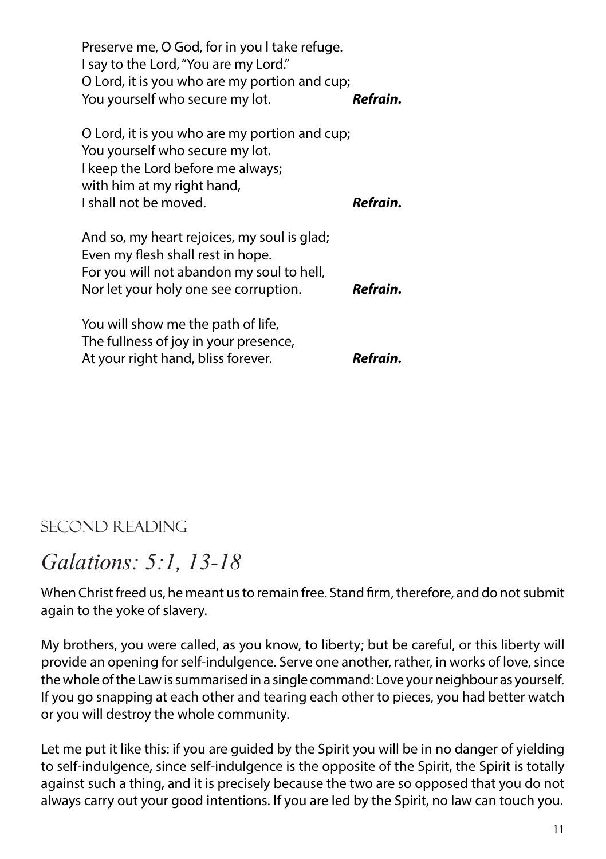Preserve me, O God, for in you l take refuge. I say to the Lord, "You are my Lord." O Lord, it is you who are my portion and cup; You yourself who secure my lot. *Refrain.*

| O Lord, it is you who are my portion and cup;<br>You yourself who secure my lot.<br>I keep the Lord before me always;<br>with him at my right hand,<br>I shall not be moved. | Refrain. |
|------------------------------------------------------------------------------------------------------------------------------------------------------------------------------|----------|
| And so, my heart rejoices, my soul is glad;<br>Even my flesh shall rest in hope.<br>For you will not abandon my soul to hell,                                                |          |
| Nor let your holy one see corruption.                                                                                                                                        | Refrain. |

You will show me the path of life, The fullness of joy in your presence, At your right hand, bliss forever. *Refrain.*

### SECOND READING

### *Galations: 5:1, 13-18*

When Christ freed us, he meant us to remain free. Stand firm, therefore, and do not submit again to the yoke of slavery.

My brothers, you were called, as you know, to liberty; but be careful, or this liberty will provide an opening for self-indulgence. Serve one another, rather, in works of love, since the whole of the Law is summarised in a single command: Love your neighbour as yourself. If you go snapping at each other and tearing each other to pieces, you had better watch or you will destroy the whole community.

Let me put it like this: if you are guided by the Spirit you will be in no danger of yielding to self-indulgence, since self-indulgence is the opposite of the Spirit, the Spirit is totally against such a thing, and it is precisely because the two are so opposed that you do not always carry out your good intentions. If you are led by the Spirit, no law can touch you.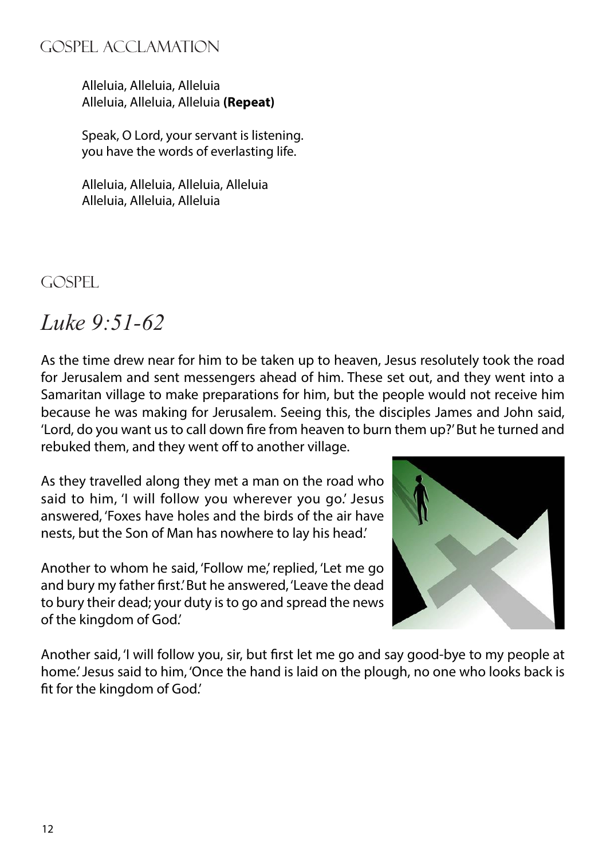#### gospel acclamation

Alleluia, Alleluia, Alleluia Alleluia, Alleluia, Alleluia **(Repeat)**

Speak, O Lord, your servant is listening. you have the words of everlasting life.

Alleluia, Alleluia, Alleluia, Alleluia Alleluia, Alleluia, Alleluia

GOSPEL.

### *Luke 9:51-62*

As the time drew near for him to be taken up to heaven, Jesus resolutely took the road for Jerusalem and sent messengers ahead of him. These set out, and they went into a Samaritan village to make preparations for him, but the people would not receive him because he was making for Jerusalem. Seeing this, the disciples James and John said, 'Lord, do you want us to call down fire from heaven to burn them up?' But he turned and rebuked them, and they went off to another village.

As they travelled along they met a man on the road who said to him, 'I will follow you wherever you go.' Jesus answered, 'Foxes have holes and the birds of the air have nests, but the Son of Man has nowhere to lay his head.'

Another to whom he said, 'Follow me,' replied, 'Let me go and bury my father first.' But he answered, 'Leave the dead to bury their dead; your duty is to go and spread the news of the kingdom of God.'



Another said, 'I will follow you, sir, but first let me go and say good-bye to my people at home.' Jesus said to him, 'Once the hand is laid on the plough, no one who looks back is fit for the kingdom of God.'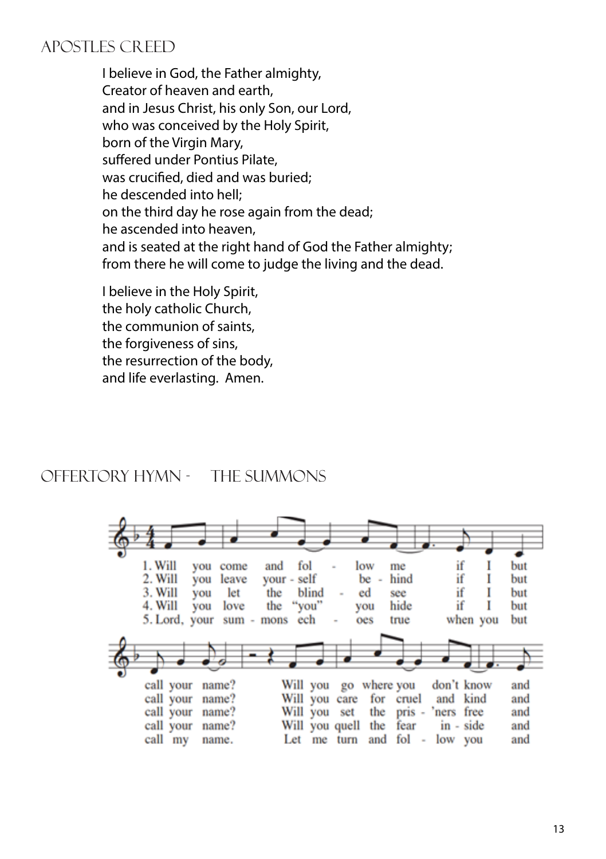#### APOSTLES CREED

I believe in God, the Father almighty, Creator of heaven and earth, and in Jesus Christ, his only Son, our Lord, who was conceived by the Holy Spirit, born of the Virgin Mary. suffered under Pontius Pilate, was crucified, died and was buried; he descended into hell; on the third day he rose again from the dead; he ascended into heaven, and is seated at the right hand of God the Father almighty; from there he will come to judge the living and the dead.

I believe in the Holy Spirit, the holy catholic Church, the communion of saints, the forgiveness of sins, the resurrection of the body, and life everlasting. Amen.

#### offertory Hymn - The Summons

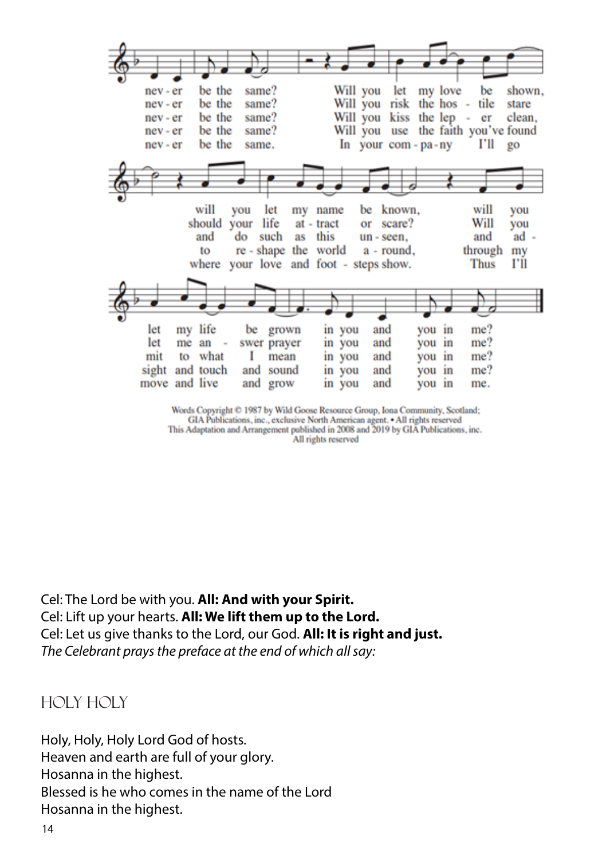

Words Copyright © 1987 by Wild Goose Resource Group, Iona Community, Scotland; GIA Publications, inc., exclusive North American agent. • All rights reserved This Adaptation and Arrangement published in 2008 and 2019 by GIA Publications, inc. All rights reserved

Cel: The Lord be with you. **All: And with your Spirit.** Cel: Lift up your hearts. **All: We lift them up to the Lord.** Cel: Let us give thanks to the Lord, our God. **All: It is right and just.** *The Celebrant prays the preface at the end of which all say:*

HOLY HOLY

Holy, Holy, Holy Lord God of hosts. Heaven and earth are full of your glory. Hosanna in the highest. Blessed is he who comes in the name of the Lord Hosanna in the highest.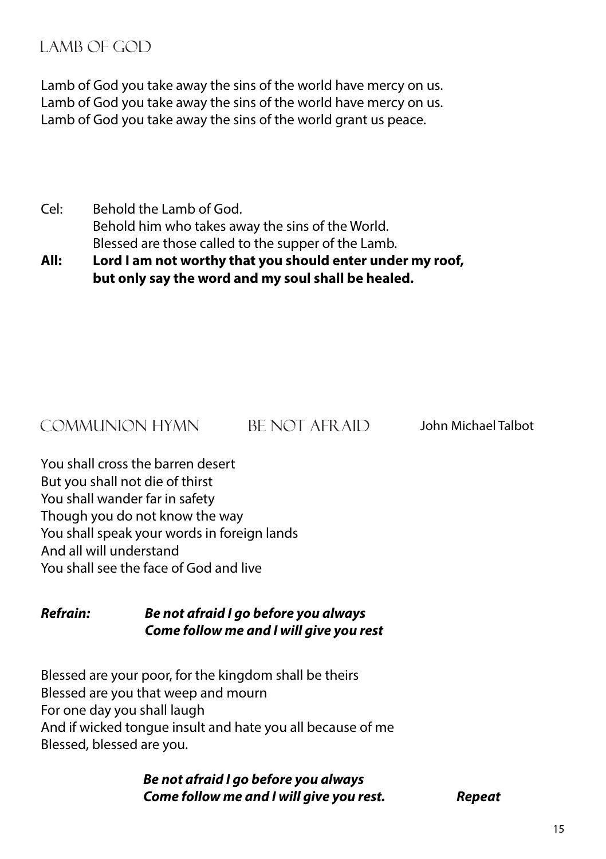#### LAMB OF GOD

Lamb of God you take away the sins of the world have mercy on us. Lamb of God you take away the sins of the world have mercy on us. Lamb of God you take away the sins of the world grant us peace.

Cel: Behold the Lamb of God. Behold him who takes away the sins of the World. Blessed are those called to the supper of the Lamb.

**All: Lord I am not worthy that you should enter under my roof, but only say the word and my soul shall be healed.**

#### COMMUNION HYMN BE NOT AFR AID

John Michael Talbot

You shall cross the barren desert But you shall not die of thirst You shall wander far in safety Though you do not know the way You shall speak your words in foreign lands And all will understand You shall see the face of God and live

#### *Refrain: Be not afraid I go before you always Come follow me and I will give you rest*

Blessed are your poor, for the kingdom shall be theirs Blessed are you that weep and mourn For one day you shall laugh And if wicked tongue insult and hate you all because of me Blessed, blessed are you.

> *Be not afraid I go before you always Come follow me and I will give you rest. Repeat*